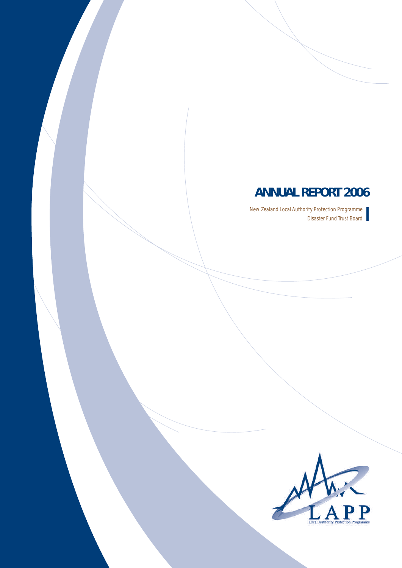## **ANNUAL REPORT 2006**

New Zealand Local Authority Protection Programme Disaster Fund Trust Board

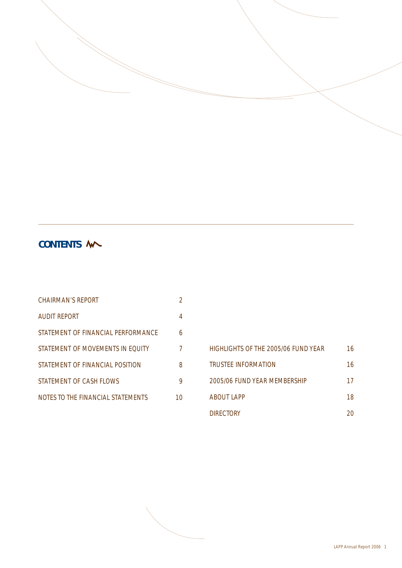

## **CONTENTS**

| CHAIRMAN'S REPORT                  | 2  |
|------------------------------------|----|
| <b>AUDIT REPORT</b>                | 4  |
| STATEMENT OF FINANCIAL PERFORMANCE | 6  |
| STATEMENT OF MOVEMENTS IN EQUITY   | 7  |
| STATEMENT OF FINANCIAL POSITION    | 8  |
| STATEMENT OF CASH ELOWS            | 9  |
| NOTES TO THE FINANCIAL STATEMENTS  | 10 |

## HIGHLIGHTS OF THE 2005/06 FUND YEAR 16 TRUSTEE INFORMATION 16 2005/06 FUND YEAR MEMBERSHIP 17 ABOUT LAPP 18 DIRECTORY 20

LAPP Annual Report 2006 1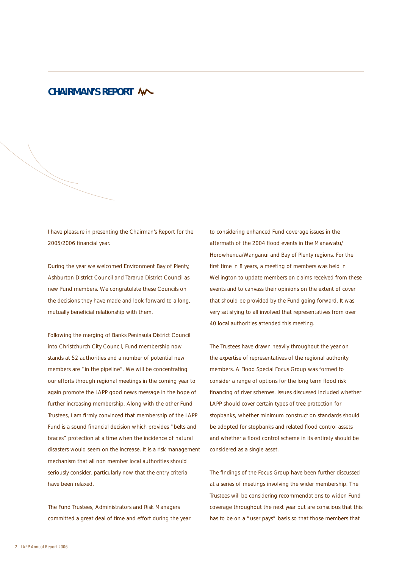## **CHAIRMAN'S REPORT**

I have pleasure in presenting the Chairman's Report for the 2005/2006 financial year.

During the year we welcomed Environment Bay of Plenty, Ashburton District Council and Tararua District Council as new Fund members. We congratulate these Councils on the decisions they have made and look forward to a long, mutually beneficial relationship with them.

Following the merging of Banks Peninsula District Council into Christchurch City Council, Fund membership now stands at 52 authorities and a number of potential new members are "in the pipeline". We will be concentrating our efforts through regional meetings in the coming year to again promote the LAPP good news message in the hope of further increasing membership. Along with the other Fund Trustees, I am firmly convinced that membership of the LAPP Fund is a sound financial decision which provides "belts and braces" protection at a time when the incidence of natural disasters would seem on the increase. It is a risk management mechanism that all non member local authorities should seriously consider, particularly now that the entry criteria have been relaxed.

The Fund Trustees, Administrators and Risk Managers committed a great deal of time and effort during the year to considering enhanced Fund coverage issues in the aftermath of the 2004 flood events in the Manawatu/ Horowhenua/Wanganui and Bay of Plenty regions. For the first time in 8 years, a meeting of members was held in Wellington to update members on claims received from these events and to canvass their opinions on the extent of cover that should be provided by the Fund going forward. It was very satisfying to all involved that representatives from over 40 local authorities attended this meeting.

The Trustees have drawn heavily throughout the year on the expertise of representatives of the regional authority members. A Flood Special Focus Group was formed to consider a range of options for the long term flood risk financing of river schemes. Issues discussed included whether LAPP should cover certain types of tree protection for stopbanks, whether minimum construction standards should be adopted for stopbanks and related flood control assets and whether a flood control scheme in its entirety should be considered as a single asset.

The findings of the Focus Group have been further discussed at a series of meetings involving the wider membership. The Trustees will be considering recommendations to widen Fund coverage throughout the next year but are conscious that this has to be on a "user pays" basis so that those members that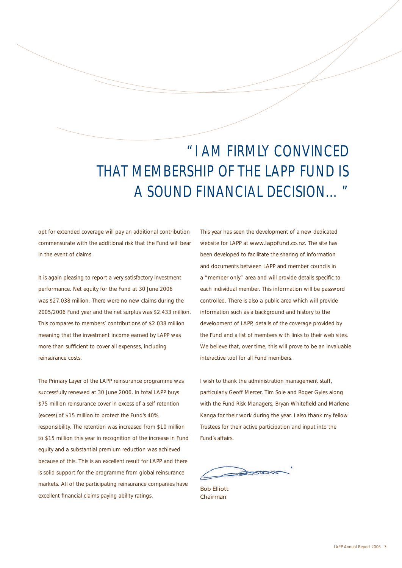# "I AM FIRMLY CONVINCED THAT MEMBERSHIP OF THE LAPP FUND IS A SOUND FINANCIAL DECISION…"

opt for extended coverage will pay an additional contribution commensurate with the additional risk that the Fund will bear in the event of claims.

It is again pleasing to report a very satisfactory investment performance. Net equity for the Fund at 30 June 2006 was \$27.038 million. There were no new claims during the 2005/2006 Fund year and the net surplus was \$2.433 million. This compares to members' contributions of \$2.038 million meaning that the investment income earned by LAPP was more than sufficient to cover all expenses, including reinsurance costs.

The Primary Layer of the LAPP reinsurance programme was successfully renewed at 30 June 2006. In total LAPP buys \$75 million reinsurance cover in excess of a self retention (excess) of \$15 million to protect the Fund's 40% responsibility. The retention was increased from \$10 million to \$15 million this year in recognition of the increase in Fund equity and a substantial premium reduction was achieved because of this. This is an excellent result for LAPP and there is solid support for the programme from global reinsurance markets. All of the participating reinsurance companies have excellent financial claims paying ability ratings.

This year has seen the development of a new dedicated website for LAPP at www.lappfund.co.nz. The site has been developed to facilitate the sharing of information and documents between LAPP and member councils in a "member only" area and will provide details specific to each individual member. This information will be password controlled. There is also a public area which will provide information such as a background and history to the development of LAPP, details of the coverage provided by the Fund and a list of members with links to their web sites. We believe that, over time, this will prove to be an invaluable interactive tool for all Fund members.

I wish to thank the administration management staff, particularly Geoff Mercer, Tim Sole and Roger Gyles along with the Fund Risk Managers, Bryan Whitefield and Marlene Kanga for their work during the year. I also thank my fellow Trustees for their active participation and input into the Fund's affairs.

Bob Elliott Chairman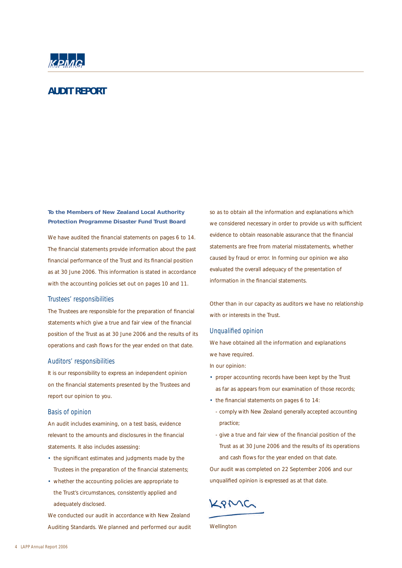

## **AUDIT REPORT**

**To the Members of New Zealand Local Authority Protection Programme Disaster Fund Trust Board**

We have audited the financial statements on pages 6 to 14. The financial statements provide information about the past financial performance of the Trust and its financial position as at 30 June 2006. This information is stated in accordance with the accounting policies set out on pages 10 and 11.

#### Trustees' responsibilities

The Trustees are responsible for the preparation of financial statements which give a true and fair view of the financial position of the Trust as at 30 June 2006 and the results of its operations and cash flows for the year ended on that date.

#### Auditors' responsibilities

It is our responsibility to express an independent opinion on the financial statements presented by the Trustees and report our opinion to you.

#### Basis of opinion

An audit includes examining, on a test basis, evidence relevant to the amounts and disclosures in the financial statements. It also includes assessing:

- the significant estimates and judgments made by the Trustees in the preparation of the financial statements;
- whether the accounting policies are appropriate to the Trust's circumstances, consistently applied and adequately disclosed.

We conducted our audit in accordance with New Zealand Auditing Standards. We planned and performed our audit so as to obtain all the information and explanations which we considered necessary in order to provide us with sufficient evidence to obtain reasonable assurance that the financial statements are free from material misstatements, whether caused by fraud or error. In forming our opinion we also evaluated the overall adequacy of the presentation of information in the financial statements.

Other than in our capacity as auditors we have no relationship with or interests in the Trust.

#### Unqualified opinion

We have obtained all the information and explanations we have required.

In our opinion:

- proper accounting records have been kept by the Trust as far as appears from our examination of those records;
- the financial statements on pages 6 to 14:
	- comply with New Zealand generally accepted accounting practice;
	- give a true and fair view of the financial position of the Trust as at 30 June 2006 and the results of its operations and cash flows for the year ended on that date.

Our audit was completed on 22 September 2006 and our unqualified opinion is expressed as at that date.

KAMG

Wellington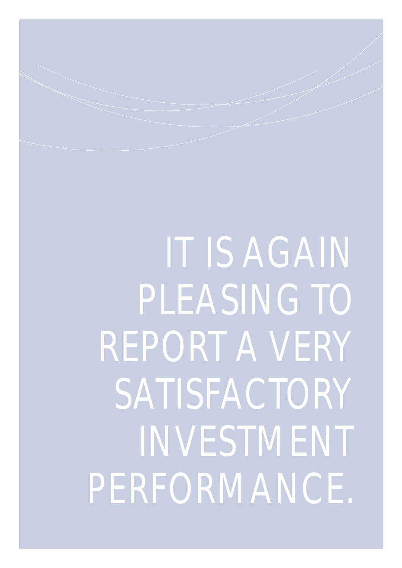IT IS AGAIN PLEASING TO REPORT A VERY SATISFACTORY INVESTMENT PERFORMANCE.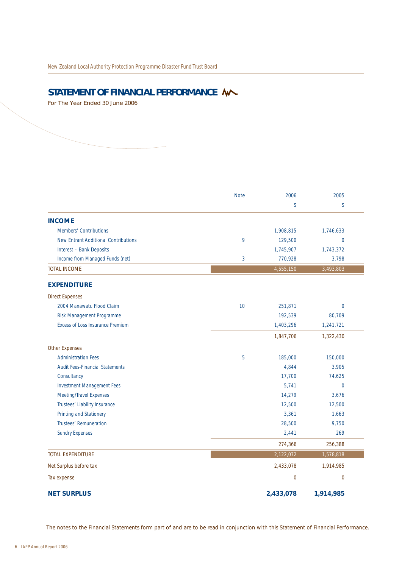## STATEMENT OF FINANCIAL PERFORMANCE **W**

For The Year Ended 30 June 2006

|                                             | <b>Note</b> | 2006        | 2005           |
|---------------------------------------------|-------------|-------------|----------------|
|                                             |             | \$          | \$             |
| <b>INCOME</b>                               |             |             |                |
| <b>Members' Contributions</b>               |             | 1,908,815   | 1,746,633      |
| <b>New Entrant Additional Contributions</b> | 9           | 129,500     | $\Omega$       |
| Interest - Bank Deposits                    |             | 1,745,907   | 1,743,372      |
| Income from Managed Funds (net)             | 3           | 770,928     | 3,798          |
| <b>TOTAL INCOME</b>                         |             | 4,555,150   | 3,493,803      |
| <b>EXPENDITURE</b>                          |             |             |                |
| <b>Direct Expenses</b>                      |             |             |                |
| 2004 Manawatu Flood Claim                   | 10          | 251,871     | $\Omega$       |
| Risk Management Programme                   |             | 192,539     | 80,709         |
| <b>Excess of Loss Insurance Premium</b>     |             | 1,403,296   | 1,241,721      |
|                                             |             | 1,847,706   | 1,322,430      |
| <b>Other Expenses</b>                       |             |             |                |
| <b>Administration Fees</b>                  | 5           | 185,000     | 150,000        |
| <b>Audit Fees-Financial Statements</b>      |             | 4,844       | 3,905          |
| Consultancy                                 |             | 17,700      | 74,625         |
| <b>Investment Management Fees</b>           |             | 5,741       | $\overline{0}$ |
| Meeting/Travel Expenses                     |             | 14,279      | 3,676          |
| Trustees' Liability Insurance               |             | 12,500      | 12,500         |
| Printing and Stationery                     |             | 3,361       | 1,663          |
| Trustees' Remuneration                      |             | 28,500      | 9,750          |
| <b>Sundry Expenses</b>                      |             | 2,441       | 269            |
|                                             |             | 274,366     | 256,388        |
| <b>TOTAL EXPENDITURE</b>                    |             | 2,122,072   | 1,578,818      |
| Net Surplus before tax                      |             | 2,433,078   | 1,914,985      |
| Tax expense                                 |             | $\mathbf 0$ | $\overline{0}$ |
| <b>NET SURPLUS</b>                          |             | 2,433,078   | 1,914,985      |

The notes to the Financial Statements form part of and are to be read in conjunction with this Statement of Financial Performance.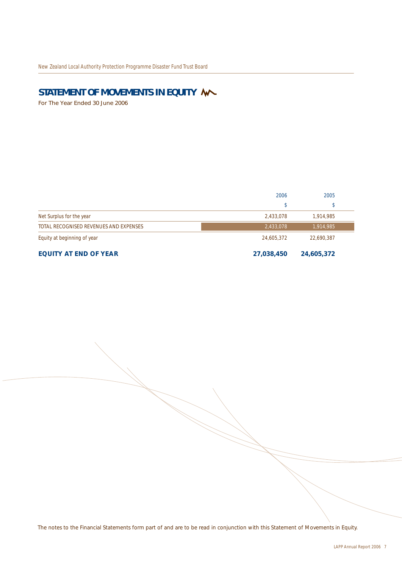## STATEMENT OF MOVEMENTS IN EQUITY **W**

For The Year Ended 30 June 2006

|                                        | 2006       | 2005       |  |
|----------------------------------------|------------|------------|--|
|                                        | \$         | D          |  |
| Net Surplus for the year               | 2,433,078  | 1,914,985  |  |
| TOTAL RECOGNISED REVENUES AND EXPENSES | 2,433,078  | 1,914,985  |  |
| Equity at beginning of year            | 24,605,372 | 22,690,387 |  |
| <b>EQUITY AT END OF YEAR</b>           | 27,038,450 | 24,605,372 |  |

The notes to the Financial Statements form part of and are to be read in conjunction with this Statement of Movements in Equity.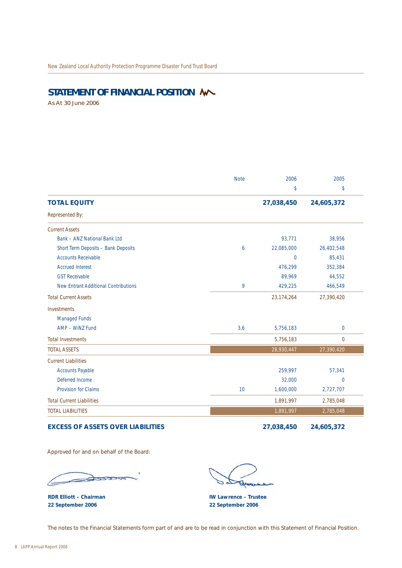## STATEMENT OF FINANCIAL POSITION **W**

As At 30 June 2006

|                                             | <b>Note</b> | 2006           | 2005           |
|---------------------------------------------|-------------|----------------|----------------|
|                                             |             | \$             | \$             |
| <b>TOTAL EQUITY</b>                         |             | 27,038,450     | 24,605,372     |
| Represented By:                             |             |                |                |
| <b>Current Assets</b>                       |             |                |                |
| Bank - ANZ National Bank Ltd                |             | 93,771         | 38,956         |
| Short Term Deposits - Bank Deposits         | 6           | 22,085,000     | 26,402,548     |
| <b>Accounts Receivable</b>                  |             | $\overline{0}$ | 85,431         |
| <b>Accrued Interest</b>                     |             | 476,299        | 352,384        |
| <b>GST Receivable</b>                       |             | 89,969         | 44,552         |
| <b>New Entrant Additional Contributions</b> | 9           | 429,225        | 466,549        |
| <b>Total Current Assets</b>                 |             | 23, 174, 264   | 27,390,420     |
| Investments                                 |             |                |                |
| Managed Funds                               |             |                |                |
| AMP - WiNZ Fund                             | 3,6         | 5,756,183      | $\mathbf{0}$   |
| <b>Total Investments</b>                    |             | 5,756,183      | $\mathbf 0$    |
| <b>TOTAL ASSETS</b>                         |             | 28,930,447     | 27,390,420     |
| <b>Current Liabilities</b>                  |             |                |                |
| <b>Accounts Payable</b>                     |             | 259,997        | 57,341         |
| Deferred Income                             |             | 32,000         | $\overline{0}$ |
| <b>Provision for Claims</b>                 | 10          | 1,600,000      | 2,727,707      |
| <b>Total Current Liabilities</b>            |             | 1,891,997      | 2,785,048      |
| <b>TOTAL LIABILITIES</b>                    |             | 1,891,997      | 2,785,048      |

### **EXCESS OF ASSETS OVER LIABILITIES 27,038,450 24,605,372**

Approved for and on behalf of the Board:

 $\approx$ 

**RDR Elliott – Chairman 22 September 2006**

5 Amare

**IW Lawrence – Trustee 22 September 2006**

The notes to the Financial Statements form part of and are to be read in conjunction with this Statement of Financial Position.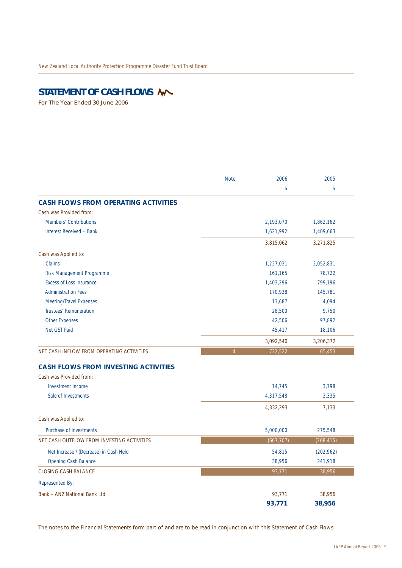## STATEMENT OF CASH FLOWS **W**

For The Year Ended 30 June 2006

|                                             | <b>Note</b>    | 2006       | 2005       |
|---------------------------------------------|----------------|------------|------------|
|                                             |                | \$         | \$         |
| <b>CASH FLOWS FROM OPERATING ACTIVITIES</b> |                |            |            |
| Cash was Provided from:                     |                |            |            |
| <b>Members' Contributions</b>               |                | 2,193,070  | 1,862,162  |
| Interest Received - Bank                    |                | 1,621,992  | 1,409,663  |
|                                             |                | 3,815,062  | 3,271,825  |
| Cash was Applied to:                        |                |            |            |
| Claims                                      |                | 1,227,031  | 2,052,831  |
| Risk Management Programme                   |                | 161,165    | 78,722     |
| <b>Excess of Loss Insurance</b>             |                | 1,403,296  | 799,196    |
| <b>Administration Fees</b>                  |                | 170,938    | 145,781    |
| Meeting/Travel Expenses                     |                | 13,687     | 4,094      |
| <b>Trustees' Remuneration</b>               |                | 28.500     | 9,750      |
| <b>Other Expenses</b>                       |                | 42,506     | 97,892     |
| Net GST Paid                                |                | 45,417     | 18,106     |
|                                             |                | 3,092,540  | 3,206,372  |
| NET CASH INFLOW FROM OPERATING ACTIVITIES   | $\overline{4}$ | 722,522    | 65,453     |
| <b>CASH FLOWS FROM INVESTING ACTIVITIES</b> |                |            |            |
| Cash was Provided from:                     |                |            |            |
| Investment Income                           |                | 14,745     | 3,798      |
| Sale of Investments                         |                | 4,317,548  | 3,335      |
|                                             |                | 4,332,293  | 7,133      |
| Cash was Applied to:                        |                |            |            |
| Purchase of Investments                     |                | 5,000,000  | 275,548    |
| NET CASH OUTFLOW FROM INVESTING ACTIVITIES  |                | (667, 707) | (268, 415) |
| Net Increase / (Decrease) in Cash Held      |                | 54,815     | (202,962)  |
| Opening Cash Balance                        |                | 38,956     | 241,918    |
| <b>CLOSING CASH BALANCE</b>                 |                | 93,771     | 38,956     |
| <b>Represented By:</b>                      |                |            |            |
| <b>Bank - ANZ National Bank Ltd</b>         |                | 93,771     | 38,956     |
|                                             |                |            |            |

The notes to the Financial Statements form part of and are to be read in conjunction with this Statement of Cash Flows.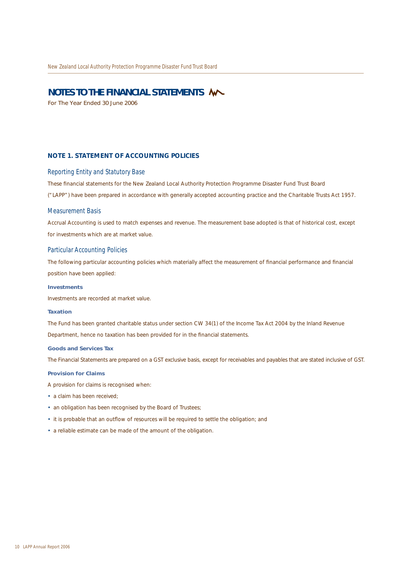### **NOTES TO THE FINANCIAL STATEMENTS**

For The Year Ended 30 June 2006

#### **NOTE 1. STATEMENT OF ACCOUNTING POLICIES**

#### Reporting Entity and Statutory Base

These financial statements for the New Zealand Local Authority Protection Programme Disaster Fund Trust Board

("LAPP") have been prepared in accordance with generally accepted accounting practice and the Charitable Trusts Act 1957.

#### Measurement Basis

Accrual Accounting is used to match expenses and revenue. The measurement base adopted is that of historical cost, except for investments which are at market value.

#### Particular Accounting Policies

The following particular accounting policies which materially affect the measurement of financial performance and financial position have been applied:

#### **Investments**

Investments are recorded at market value.

#### **Taxation**

The Fund has been granted charitable status under section CW 34(1) of the Income Tax Act 2004 by the Inland Revenue Department, hence no taxation has been provided for in the financial statements.

#### **Goods and Services Tax**

The Financial Statements are prepared on a GST exclusive basis, except for receivables and payables that are stated inclusive of GST.

#### **Provision for Claims**

A provision for claims is recognised when:

- a claim has been received:
- an obligation has been recognised by the Board of Trustees;
- it is probable that an outflow of resources will be required to settle the obligation; and
- a reliable estimate can be made of the amount of the obligation.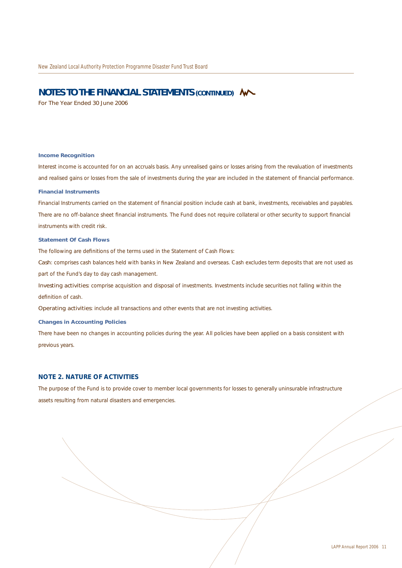#### **NOTES TO THE FINANCIAL STATEMENTS (CONTINUED)**

For The Year Ended 30 June 2006

#### **Income Recognition**

Interest income is accounted for on an accruals basis. Any unrealised gains or losses arising from the revaluation of investments and realised gains or losses from the sale of investments during the year are included in the statement of financial performance.

#### **Financial Instruments**

Financial Instruments carried on the statement of financial position include cash at bank, investments, receivables and payables. There are no off-balance sheet financial instruments. The Fund does not require collateral or other security to support financial instruments with credit risk.

#### **Statement Of Cash Flows**

The following are definitions of the terms used in the Statement of Cash Flows:

*Cash*: comprises cash balances held with banks in New Zealand and overseas. Cash excludes term deposits that are not used as part of the Fund's day to day cash management.

*Investing activities*: comprise acquisition and disposal of investments. Investments include securities not falling within the definition of cash.

*Operating activities*: include all transactions and other events that are not investing activities.

#### **Changes in Accounting Policies**

There have been no changes in accounting policies during the year. All policies have been applied on a basis consistent with previous years.

#### **NOTE 2. NATURE OF ACTIVITIES**

The purpose of the Fund is to provide cover to member local governments for losses to generally uninsurable infrastructure assets resulting from natural disasters and emergencies.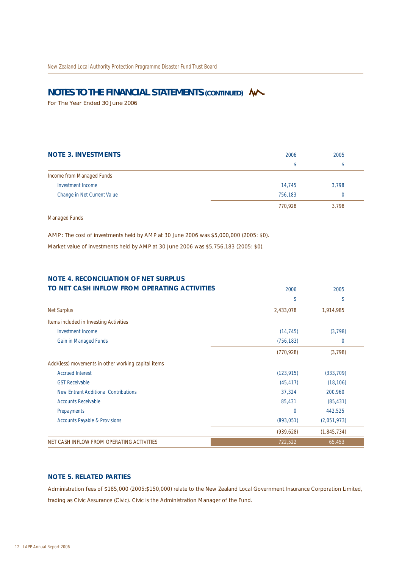## **NOTES TO THE FINANCIAL STATEMENTS (CONTINUED) W**

For The Year Ended 30 June 2006

| <b>NOTE 3. INVESTMENTS</b>  | 2006    | 2005     |
|-----------------------------|---------|----------|
|                             | S       | \$       |
| Income from Managed Funds   |         |          |
| Investment Income           | 14.745  | 3,798    |
| Change in Net Current Value | 756.183 | $\Omega$ |
|                             | 770,928 | 3,798    |

Managed Funds

*AMP*: The cost of investments held by AMP at 30 June 2006 was \$5,000,000 (2005: \$0).

Market value of investments held by AMP at 30 June 2006 was \$5,756,183 (2005: \$0).

| <b>NOTE 4. RECONCILIATION OF NET SURPLUS</b>        |                |                |
|-----------------------------------------------------|----------------|----------------|
| TO NET CASH INFLOW FROM OPERATING ACTIVITIES        | 2006           | 2005           |
|                                                     | \$             | \$             |
| <b>Net Surplus</b>                                  | 2,433,078      | 1,914,985      |
| Items included in Investing Activities              |                |                |
| Investment Income                                   | (14, 745)      | (3, 798)       |
| Gain in Managed Funds                               | (756, 183)     | $\overline{0}$ |
|                                                     | (770, 928)     | (3,798)        |
| Add/(less) movements in other working capital items |                |                |
| <b>Accrued Interest</b>                             | (123, 915)     | (333,709)      |
| <b>GST Receivable</b>                               | (45, 417)      | (18, 106)      |
| New Entrant Additional Contributions                | 37,324         | 200,960        |
| <b>Accounts Receivable</b>                          | 85,431         | (85, 431)      |
| Prepayments                                         | $\overline{0}$ | 442,525        |
| <b>Accounts Payable &amp; Provisions</b>            | (893,051)      | (2,051,973)    |
|                                                     | (939, 628)     | (1,845,734)    |
| NET CASH INFLOW FROM OPERATING ACTIVITIES           | 722,522        | 65,453         |

#### **NOTE 5. RELATED PARTIES**

Administration fees of \$185,000 (2005:\$150,000) relate to the New Zealand Local Government Insurance Corporation Limited, trading as Civic Assurance (Civic). Civic is the Administration Manager of the Fund.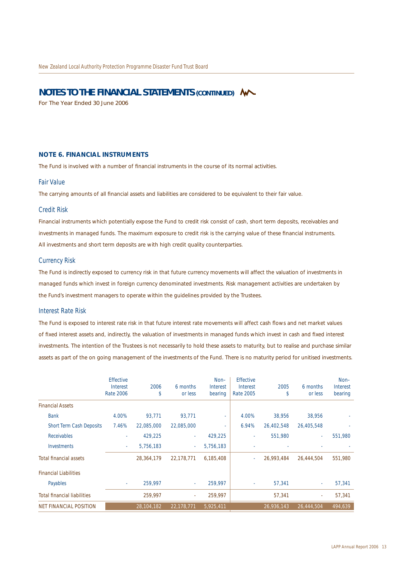### **NOTES TO THE FINANCIAL STATEMENTS (CONTINUED)**

For The Year Ended 30 June 2006

#### **NOTE 6. FINANCIAL INSTRUMENTS**

The Fund is involved with a number of financial instruments in the course of its normal activities.

#### Fair Value

The carrying amounts of all financial assets and liabilities are considered to be equivalent to their fair value.

#### Credit Risk

Financial instruments which potentially expose the Fund to credit risk consist of cash, short term deposits, receivables and investments in managed funds. The maximum exposure to credit risk is the carrying value of these financial instruments. All investments and short term deposits are with high credit quality counterparties.

#### Currency Risk

The Fund is indirectly exposed to currency risk in that future currency movements will affect the valuation of investments in managed funds which invest in foreign currency denominated investments. Risk management activities are undertaken by the Fund's investment managers to operate within the guidelines provided by the Trustees.

#### Interest Rate Risk

The Fund is exposed to interest rate risk in that future interest rate movements will affect cash flows and net market values of fixed interest assets and, indirectly, the valuation of investments in managed funds which invest in cash and fixed interest investments. The intention of the Trustees is not necessarily to hold these assets to maturity, but to realise and purchase similar assets as part of the on going management of the investments of the Fund. There is no maturity period for unitised investments.

|                                    | <b>Effective</b><br>Interest<br><b>Rate 2006</b> | 2006<br>\$ | 6 months<br>or less | $Non-$<br><b>Interest</b><br>bearing | <b>Effective</b><br>Interest<br>Rate 2005 | 2005<br>\$ | 6 months<br>or less | $Non-$<br>Interest<br>bearing |
|------------------------------------|--------------------------------------------------|------------|---------------------|--------------------------------------|-------------------------------------------|------------|---------------------|-------------------------------|
| <b>Financial Assets</b>            |                                                  |            |                     |                                      |                                           |            |                     |                               |
| <b>Bank</b>                        | 4.00%                                            | 93.771     | 93.771              | ٠                                    | 4.00%                                     | 38,956     | 38.956              |                               |
| Short Term Cash Deposits           | 7.46%                                            | 22,085,000 | 22,085,000          | ٠                                    | 6.94%                                     | 26,402,548 | 26,405,548          |                               |
| Receivables                        |                                                  | 429,225    |                     | 429,225                              |                                           | 551.980    |                     | 551,980                       |
| Investments                        | $\sim$                                           | 5,756,183  | $\sim$              | 5,756,183                            |                                           |            |                     |                               |
| <b>Total financial assets</b>      |                                                  | 28,364,179 | 22,178,771          | 6,185,408                            | $\overline{\phantom{a}}$                  | 26,993,484 | 26,444,504          | 551,980                       |
| <b>Financial Liabilities</b>       |                                                  |            |                     |                                      |                                           |            |                     |                               |
| Payables                           | $\sim$                                           | 259,997    |                     | 259,997                              |                                           | 57,341     |                     | 57,341                        |
| <b>Total financial liabilities</b> |                                                  | 259,997    |                     | 259,997                              |                                           | 57,341     | ٠                   | 57,341                        |
| <b>NET FINANCIAL POSITION</b>      |                                                  | 28,104,182 | 22,178,771          | 5,925,411                            |                                           | 26,936,143 | 26,444,504          | 494,639                       |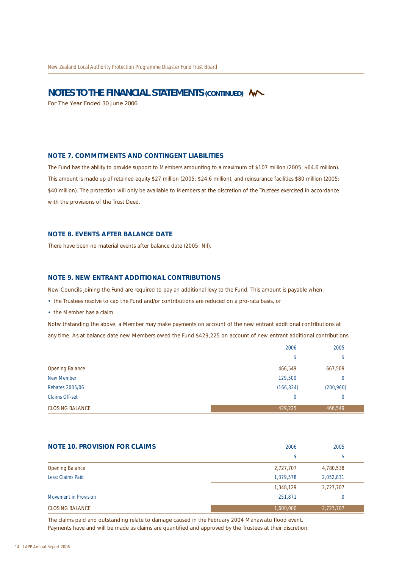### **NOTES TO THE FINANCIAL STATEMENTS (CONTINUED) W**

For The Year Ended 30 June 2006

#### **NOTE 7. COMMITMENTS AND CONTINGENT LIABILITIES**

The Fund has the ability to provide support to Members amounting to a maximum of \$107 million (2005: \$64.6 million). This amount is made up of retained equity \$27 million (2005: \$24.6 million), and reinsurance facilities \$80 million (2005: \$40 million). The protection will only be available to Members at the discretion of the Trustees exercised in accordance with the provisions of the Trust Deed.

#### **NOTE 8. EVENTS AFTER BALANCE DATE**

There have been no material events after balance date (2005: Nil).

#### **NOTE 9. NEW ENTRANT ADDITIONAL CONTRIBUTIONS**

New Councils joining the Fund are required to pay an additional levy to the Fund. This amount is payable when:

- the Trustees resolve to cap the Fund and/or contributions are reduced on a pro-rata basis, or
- the Member has a claim

Notwithstanding the above, a Member may make payments on account of the new entrant additional contributions at any time. As at balance date new Members owed the Fund \$429,225 on account of new entrant additional contributions.

|                        | 2006           | 2005       |
|------------------------|----------------|------------|
|                        | \$             | ¢<br>Ф     |
| <b>Opening Balance</b> | 466,549        | 667,509    |
| New Member             | 129,500        | 0          |
| Rebates 2005/06        | (166, 824)     | (200, 960) |
| Claims Off-set         | $\overline{0}$ | 0          |
| <b>CLOSING BALANCE</b> | 429,225        | 466,549    |

| <b>NOTE 10. PROVISION FOR CLAIMS</b> | 2006      | 2005      |
|--------------------------------------|-----------|-----------|
|                                      | \$        | Þ         |
| <b>Opening Balance</b>               | 2,727,707 | 4,780,538 |
| Less: Claims Paid                    | 1,379,578 | 2.052.831 |
|                                      | 1,348,129 | 2,727,707 |
| Movement in Provision                | 251.871   | 0         |
| <b>CLOSING BALANCE</b>               | 1,600,000 | 2,727,707 |

The claims paid and outstanding relate to damage caused in the February 2004 Manawatu flood event. Payments have and will be made as claims are quantified and approved by the Trustees at their discretion.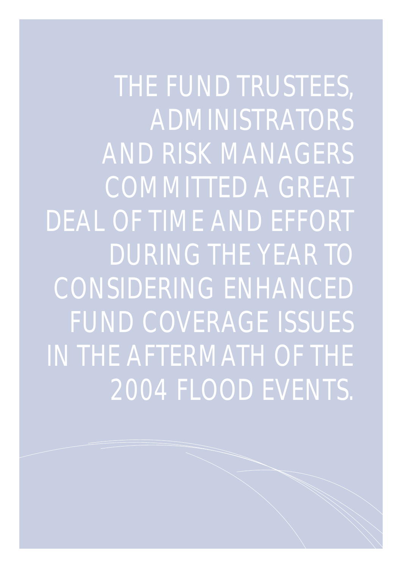THE FUND TRUSTEES, ADMINISTRATORS AND RISK MANAGERS COMMITTED A GREAT DEAL OF TIME AND EFFORT DURING THE YEAR TO CONSIDERING ENHANCED FUND COVERAGE ISSUES IN THE AFTERMATH OF THE 2004 FLOOD EVENTS.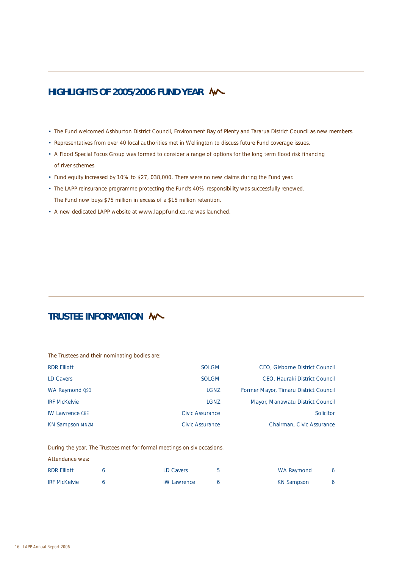## **HIGHLIGHTS OF 2005/2006 FUND YEAR**

- The Fund welcomed Ashburton District Council, Environment Bay of Plenty and Tararua District Council as new members.
- Representatives from over 40 local authorities met in Wellington to discuss future Fund coverage issues.
- A Flood Special Focus Group was formed to consider a range of options for the long term flood risk financing of river schemes.
- Fund equity increased by 10% to \$27, 038,000. There were no new claims during the Fund year.
- The LAPP reinsurance programme protecting the Fund's 40% responsibility was successfully renewed. The Fund now buys \$75 million in excess of a \$15 million retention.
- A new dedicated LAPP website at www.lappfund.co.nz was launched.

## **TRUSTEE INFORMATION**

|  |  |  |  | The Trustees and their nominating bodies are: |  |  |
|--|--|--|--|-----------------------------------------------|--|--|
|--|--|--|--|-----------------------------------------------|--|--|

| <b>RDR Elliott</b>     | <b>SOLGM</b>    | CEO, Gisborne District Council        |
|------------------------|-----------------|---------------------------------------|
| LD Cavers              | SOLGM           | CEO, Hauraki District Council         |
| WA Raymond QSO         | LGNZ            | Former Mayor, Timaru District Council |
| <b>IRF McKelvie</b>    | LGNZ            | Mayor, Manawatu District Council      |
| <b>IW Lawrence CBE</b> | Civic Assurance | Solicitor                             |
| <b>KN Sampson MNZM</b> | Civic Assurance | Chairman, Civic Assurance             |

During the year, The Trustees met for formal meetings on six occasions.

| <b>RDR Elliott</b>  | <b>LD Cavers</b>   | WA Raymond | 6 |
|---------------------|--------------------|------------|---|
| <b>IRF McKelvie</b> | <b>IW Lawrence</b> | KN Sampson |   |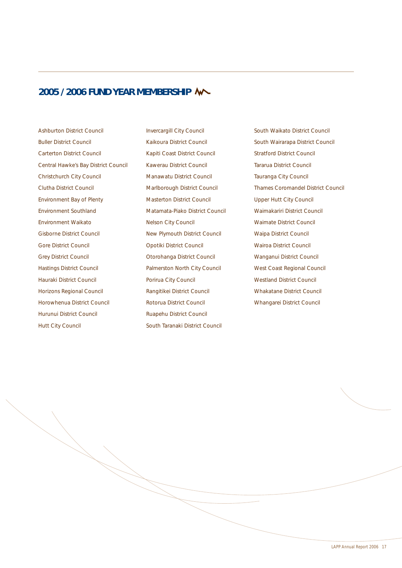## **2005 / 2006 FUND YEAR MEMBERSHIP**

Ashburton District Council Buller District Council Carterton District Council Central Hawke's Bay District Council Christchurch City Council Clutha District Council Environment Bay of Plenty Environment Southland Environment Waikato Gisborne District Council Gore District Council Grey District Council Hastings District Council Hauraki District Council Horizons Regional Council Horowhenua District Council Hurunui District Council Hutt City Council

Invercargill City Council Kaikoura District Council Kapiti Coast District Council Kawerau District Council Manawatu District Council Marlborough District Council Masterton District Council Matamata-Piako District Council Nelson City Council New Plymouth District Council Opotiki District Council Otorohanga District Council Palmerston North City Council Porirua City Council Rangitikei District Council Rotorua District Council Ruapehu District Council South Taranaki District Council

South Waikato District Council South Wairarapa District Council Stratford District Council Tararua District Council Tauranga City Council Thames Coromandel District Council Upper Hutt City Council Waimakariri District Council Waimate District Council Waipa District Council Wairoa District Council Wanganui District Council West Coast Regional Council Westland District Council Whakatane District Council Whangarei District Council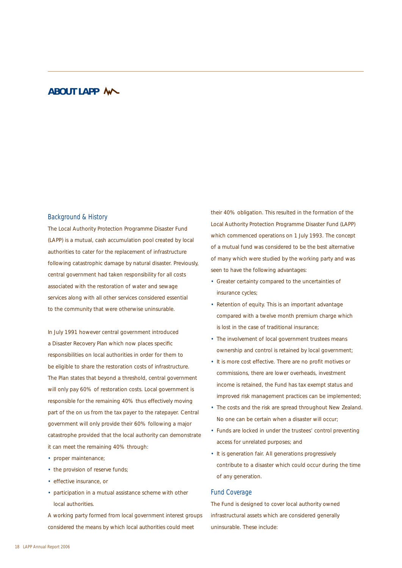## **ABOUT LAPP**

#### Background & History

The Local Authority Protection Programme Disaster Fund (LAPP) is a mutual, cash accumulation pool created by local authorities to cater for the replacement of infrastructure following catastrophic damage by natural disaster. Previously, central government had taken responsibility for all costs associated with the restoration of water and sewage services along with all other services considered essential to the community that were otherwise uninsurable.

In July 1991 however central government introduced a Disaster Recovery Plan which now places specific responsibilities on local authorities in order for them to be eligible to share the restoration costs of infrastructure. The Plan states that beyond a threshold, central government will only pay 60% of restoration costs. Local government is responsible for the remaining 40% thus effectively moving part of the on us from the tax payer to the ratepayer. Central government will only provide their 60% following a major catastrophe provided that the local authority can demonstrate it can meet the remaining 40% through:

- proper maintenance;
- the provision of reserve funds;
- effective insurance, or
- participation in a mutual assistance scheme with other local authorities.

A working party formed from local government interest groups considered the means by which local authorities could meet

their 40% obligation. This resulted in the formation of the Local Authority Protection Programme Disaster Fund (LAPP) which commenced operations on 1 July 1993. The concept of a mutual fund was considered to be the best alternative of many which were studied by the working party and was seen to have the following advantages:

- Greater certainty compared to the uncertainties of insurance cycles;
- Retention of equity. This is an important advantage compared with a twelve month premium charge which is lost in the case of traditional insurance;
- The involvement of local government trustees means ownership and control is retained by local government;
- It is more cost effective. There are no profit motives or commissions, there are lower overheads, investment income is retained, the Fund has tax exempt status and improved risk management practices can be implemented;
- The costs and the risk are spread throughout New Zealand. No one can be certain when a disaster will occur;
- Funds are locked in under the trustees' control preventing access for unrelated purposes; and
- It is generation fair. All generations progressively contribute to a disaster which could occur during the time of any generation.

#### Fund Coverage

The Fund is designed to cover local authority owned infrastructural assets which are considered generally uninsurable. These include: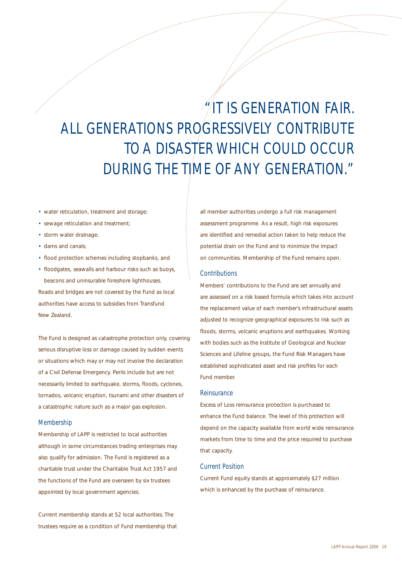# $\sqrt{n}$ IT IS GENERATION FAIR. ALL GENERATIONS PROGRESSIVELY CONTRIBUTE TO A DISASTER WHICH COULD OCCUR DURING THE TIME OF ANY GENERATION."

- water reticulation, treatment and storage;
- sewage reticulation and treatment;
- storm water drainage;
- dams and canals;
- flood protection schemes including stopbanks, and
- floodgates, seawalls and harbour risks such as buoys, beacons and uninsurable foreshore lighthouses. Roads and bridges are not covered by the Fund as local

authorities have access to subsidies from Transfund New Zealand.

The Fund is designed as catastrophe protection only, covering serious disruptive loss or damage caused by sudden events or situations which may or may not involve the declaration of a Civil Defense Emergency. Perils include but are not necessarily limited to earthquake, storms, floods, cyclones, tornados, volcanic eruption, tsunami and other disasters of a catastrophic nature such as a major gas explosion.

#### Membership

Membership of LAPP is restricted to local authorities although in some circumstances trading enterprises may also qualify for admission. The Fund is registered as a charitable trust under the Charitable Trust Act 1957 and the functions of the Fund are overseen by six trustees appointed by local government agencies.

Current membership stands at 52 local authorities. The trustees require as a condition of Fund membership that

all member authorities undergo a full risk management assessment programme. As a result, high risk exposures are identified and remedial action taken to help reduce the potential drain on the Fund and to minimize the impact on communities. Membership of the Fund remains open.

#### **Contributions**

Members' contributions to the Fund are set annually and are assessed on a risk based formula which takes into account the replacement value of each member's infrastructural assets adjusted to recognize geographical exposures to risk such as floods, storms, volcanic eruptions and earthquakes. Working with bodies such as the Institute of Geological and Nuclear Sciences and Lifeline groups, the Fund Risk Managers have established sophisticated asset and risk profiles for each Fund member.

#### **Reinsurance**

Excess of Loss reinsurance protection is purchased to enhance the Fund balance. The level of this protection will depend on the capacity available from world wide reinsurance markets from time to time and the price required to purchase that capacity.

#### Current Position

Current Fund equity stands at approximately \$27 million which is enhanced by the purchase of reinsurance.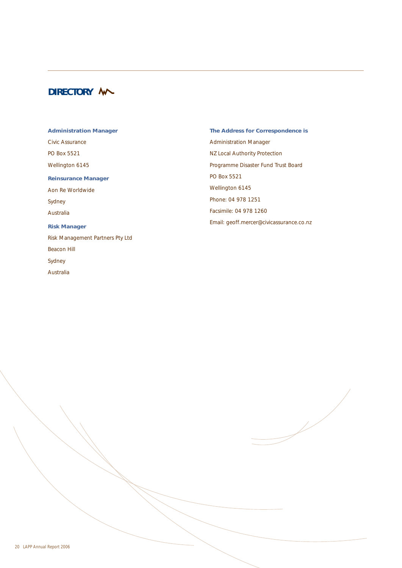## **DIRECTORY M**

**Administration Manager** Civic Assurance PO Box 5521 Wellington 6145 **Reinsurance Manager** Aon Re Worldwide Sydney Australia **Risk Manager** Risk Management Partners Pty Ltd Beacon Hill Sydney Australia

**The Address for Correspondence is** Administration Manager NZ Local Authority Protection Programme Disaster Fund Trust Board PO Box 5521 Wellington 6145 Phone: 04 978 1251 Facsimile: 04 978 1260 Email: geoff.mercer@civicassurance.co.nz